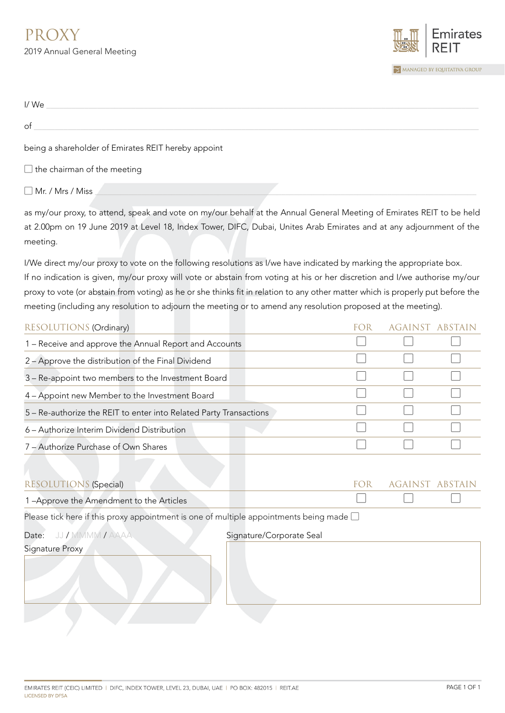

| I/We                                                |  |
|-----------------------------------------------------|--|
| of                                                  |  |
| being a shareholder of Emirates REIT hereby appoint |  |
| $\Box$ the chairman of the meeting                  |  |
| Mr. / Mrs / Miss                                    |  |

as my/our proxy, to attend, speak and vote on my/our behalf at the Annual General Meeting of Emirates REIT to be held at 2.00pm on 19 June 2019 at Level 18, Index Tower, DIFC, Dubai, Unites Arab Emirates and at any adjournment of the meeting.

I/We direct my/our proxy to vote on the following resolutions as I/we have indicated by marking the appropriate box. If no indication is given, my/our proxy will vote or abstain from voting at his or her discretion and I/we authorise my/our proxy to vote (or abstain from voting) as he or she thinks fit in relation to any other matter which is properly put before the meeting (including any resolution to adjourn the meeting or to amend any resolution proposed at the meeting).

|  | AGAINST |
|--|---------|

| <b>RESOLUTIONS (Special)</b>                                                                    | FOR.                     | against abstain |  |  |
|-------------------------------------------------------------------------------------------------|--------------------------|-----------------|--|--|
| 1-Approve the Amendment to the Articles                                                         |                          |                 |  |  |
| Please tick here if this proxy appointment is one of multiple appointments being made $\square$ |                          |                 |  |  |
| Date: JJ / MMMM / AAAA                                                                          | Signature/Corporate Seal |                 |  |  |
| Signature Proxy                                                                                 |                          |                 |  |  |